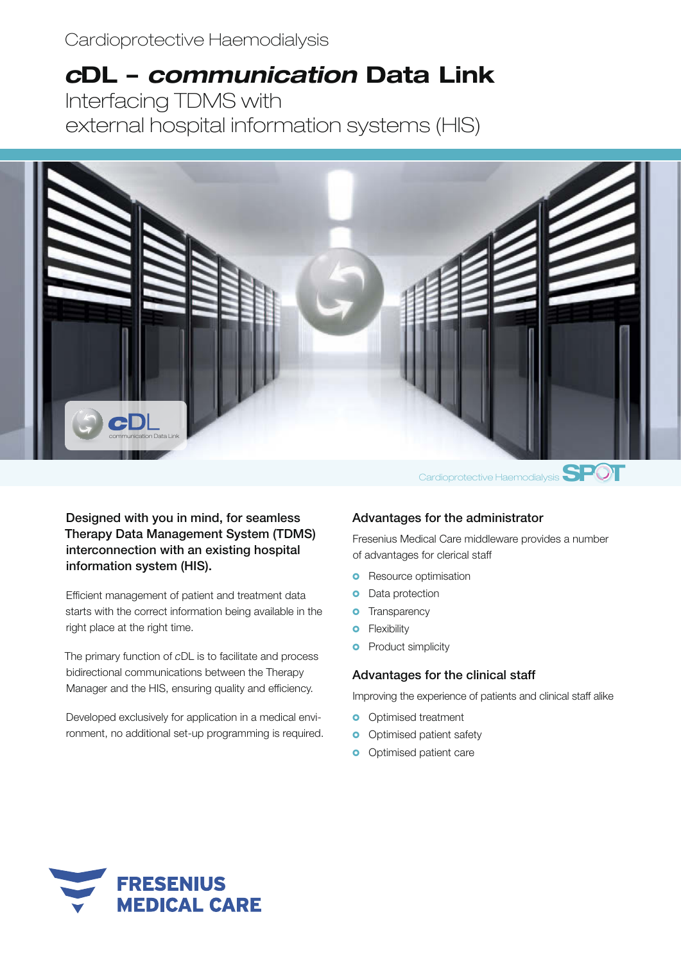Cardioprotective Haemodialysis

# *c***DL –** *communication* **Data Link**

Interfacing TDMS with external hospital information systems (HIS)



Designed with you in mind, for seamless Therapy Data Management System (TDMS) interconnection with an existing hospital information system (HIS).

Efficient management of patient and treatment data starts with the correct information being available in the right place at the right time.

The primary function of *c*DL is to facilitate and process bidirectional communications between the Therapy Manager and the HIS, ensuring quality and efficiency.

Developed exclusively for application in a medical environment, no additional set-up programming is required.

# Advantages for the administrator

Fresenius Medical Care middleware provides a number of advantages for clerical staff

- **o** Resource optimisation
- **o** Data protection
- **o** Transparency
- **o** Flexibility
- **o** Product simplicity

#### Advantages for the clinical staff

Improving the experience of patients and clinical staff alike

- **o** Optimised treatment
- **o** Optimised patient safety
- **o** Optimised patient care